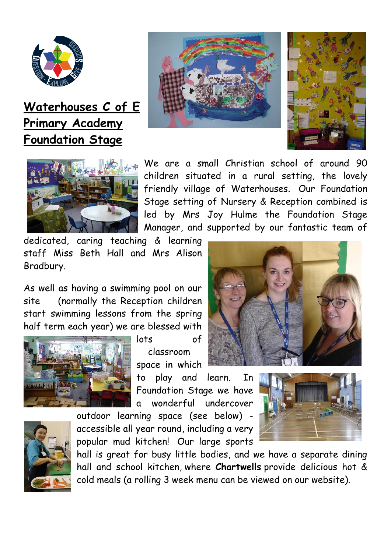

**Waterhouses C of E Primary Academy Foundation Stage**







We are a small Christian school of around 90 children situated in a rural setting, the lovely friendly village of Waterhouses. Our Foundation Stage setting of Nursery & Reception combined is led by Mrs Joy Hulme the Foundation Stage Manager, and supported by our fantastic team of

dedicated, caring teaching & learning staff Miss Beth Hall and Mrs Alison Bradbury.

As well as having a swimming pool on our site (normally the Reception children start swimming lessons from the spring half term each year) we are blessed with



lots of classroom space in which

to play and learn. In Foundation Stage we have a wonderful undercover

outdoor learning space (see below) accessible all year round, including a very popular mud kitchen! Our large sports







hall is great for busy little bodies, and we have a separate dining hall and school kitchen, where **Chartwells** provide delicious hot & cold meals (a rolling 3 week menu can be viewed on our website).